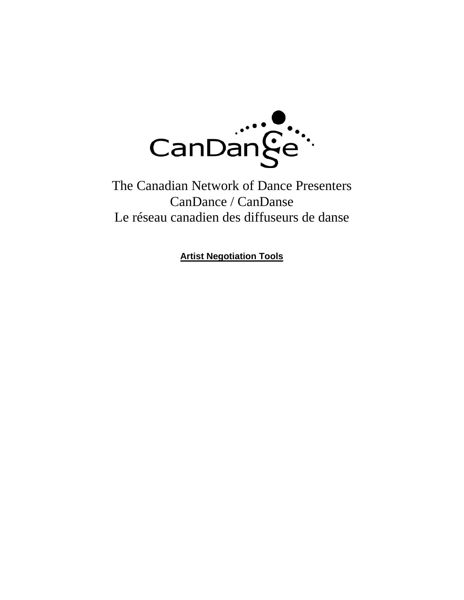

The Canadian Network of Dance Presenters CanDance / CanDanse Le réseau canadien des diffuseurs de danse

**Artist Negotiation Tools**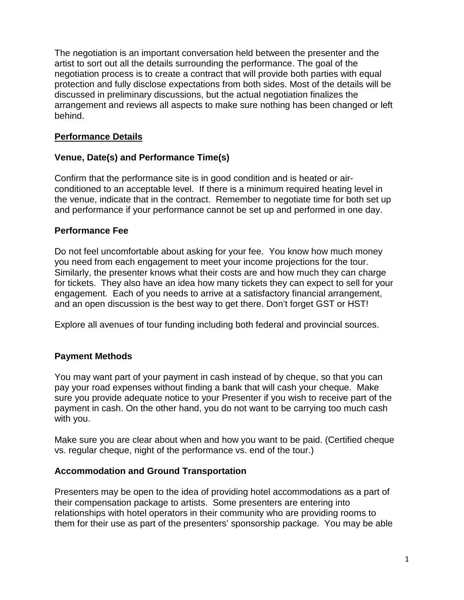The negotiation is an important conversation held between the presenter and the artist to sort out all the details surrounding the performance. The goal of the negotiation process is to create a contract that will provide both parties with equal protection and fully disclose expectations from both sides. Most of the details will be discussed in preliminary discussions, but the actual negotiation finalizes the arrangement and reviews all aspects to make sure nothing has been changed or left behind.

### **Performance Details**

## **Venue, Date(s) and Performance Time(s)**

Confirm that the performance site is in good condition and is heated or airconditioned to an acceptable level. If there is a minimum required heating level in the venue, indicate that in the contract. Remember to negotiate time for both set up and performance if your performance cannot be set up and performed in one day.

### **Performance Fee**

Do not feel uncomfortable about asking for your fee. You know how much money you need from each engagement to meet your income projections for the tour. Similarly, the presenter knows what their costs are and how much they can charge for tickets. They also have an idea how many tickets they can expect to sell for your engagement. Each of you needs to arrive at a satisfactory financial arrangement, and an open discussion is the best way to get there. Don't forget GST or HST!

Explore all avenues of tour funding including both federal and provincial sources.

### **Payment Methods**

You may want part of your payment in cash instead of by cheque, so that you can pay your road expenses without finding a bank that will cash your cheque. Make sure you provide adequate notice to your Presenter if you wish to receive part of the payment in cash. On the other hand, you do not want to be carrying too much cash with you.

Make sure you are clear about when and how you want to be paid. (Certified cheque vs. regular cheque, night of the performance vs. end of the tour.)

### **Accommodation and Ground Transportation**

Presenters may be open to the idea of providing hotel accommodations as a part of their compensation package to artists. Some presenters are entering into relationships with hotel operators in their community who are providing rooms to them for their use as part of the presenters' sponsorship package. You may be able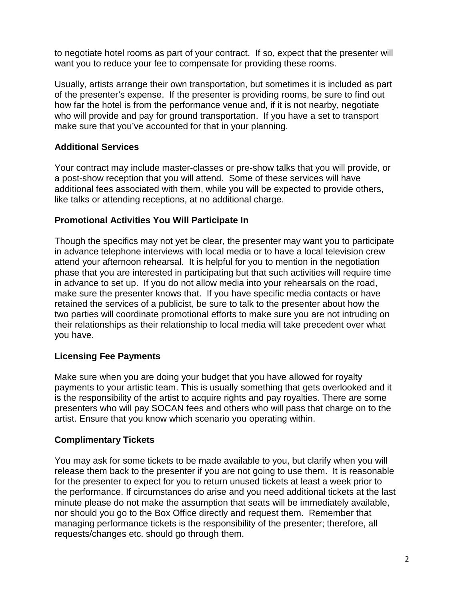to negotiate hotel rooms as part of your contract. If so, expect that the presenter will want you to reduce your fee to compensate for providing these rooms.

Usually, artists arrange their own transportation, but sometimes it is included as part of the presenter's expense. If the presenter is providing rooms, be sure to find out how far the hotel is from the performance venue and, if it is not nearby, negotiate who will provide and pay for ground transportation. If you have a set to transport make sure that you've accounted for that in your planning.

### **Additional Services**

Your contract may include master-classes or pre-show talks that you will provide, or a post-show reception that you will attend. Some of these services will have additional fees associated with them, while you will be expected to provide others, like talks or attending receptions, at no additional charge.

### **Promotional Activities You Will Participate In**

Though the specifics may not yet be clear, the presenter may want you to participate in advance telephone interviews with local media or to have a local television crew attend your afternoon rehearsal. It is helpful for you to mention in the negotiation phase that you are interested in participating but that such activities will require time in advance to set up. If you do not allow media into your rehearsals on the road, make sure the presenter knows that. If you have specific media contacts or have retained the services of a publicist, be sure to talk to the presenter about how the two parties will coordinate promotional efforts to make sure you are not intruding on their relationships as their relationship to local media will take precedent over what you have.

### **Licensing Fee Payments**

Make sure when you are doing your budget that you have allowed for royalty payments to your artistic team. This is usually something that gets overlooked and it is the responsibility of the artist to acquire rights and pay royalties. There are some presenters who will pay SOCAN fees and others who will pass that charge on to the artist. Ensure that you know which scenario you operating within.

#### **Complimentary Tickets**

You may ask for some tickets to be made available to you, but clarify when you will release them back to the presenter if you are not going to use them. It is reasonable for the presenter to expect for you to return unused tickets at least a week prior to the performance. If circumstances do arise and you need additional tickets at the last minute please do not make the assumption that seats will be immediately available, nor should you go to the Box Office directly and request them. Remember that managing performance tickets is the responsibility of the presenter; therefore, all requests/changes etc. should go through them.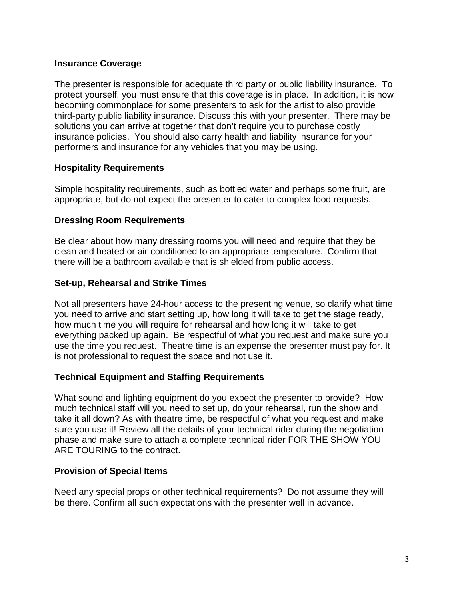#### **Insurance Coverage**

The presenter is responsible for adequate third party or public liability insurance. To protect yourself, you must ensure that this coverage is in place. In addition, it is now becoming commonplace for some presenters to ask for the artist to also provide third-party public liability insurance. Discuss this with your presenter. There may be solutions you can arrive at together that don't require you to purchase costly insurance policies. You should also carry health and liability insurance for your performers and insurance for any vehicles that you may be using.

#### **Hospitality Requirements**

Simple hospitality requirements, such as bottled water and perhaps some fruit, are appropriate, but do not expect the presenter to cater to complex food requests.

#### **Dressing Room Requirements**

Be clear about how many dressing rooms you will need and require that they be clean and heated or air-conditioned to an appropriate temperature. Confirm that there will be a bathroom available that is shielded from public access.

#### **Set-up, Rehearsal and Strike Times**

Not all presenters have 24-hour access to the presenting venue, so clarify what time you need to arrive and start setting up, how long it will take to get the stage ready, how much time you will require for rehearsal and how long it will take to get everything packed up again. Be respectful of what you request and make sure you use the time you request. Theatre time is an expense the presenter must pay for. It is not professional to request the space and not use it.

#### **Technical Equipment and Staffing Requirements**

What sound and lighting equipment do you expect the presenter to provide? How much technical staff will you need to set up, do your rehearsal, run the show and take it all down? As with theatre time, be respectful of what you request and make sure you use it! Review all the details of your technical rider during the negotiation phase and make sure to attach a complete technical rider FOR THE SHOW YOU ARE TOURING to the contract.

#### **Provision of Special Items**

Need any special props or other technical requirements? Do not assume they will be there. Confirm all such expectations with the presenter well in advance.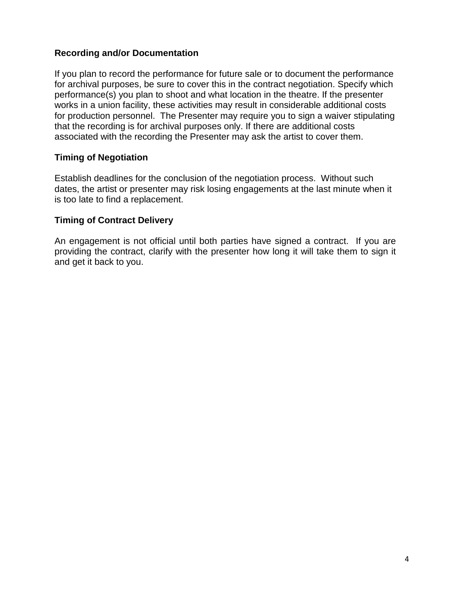### **Recording and/or Documentation**

If you plan to record the performance for future sale or to document the performance for archival purposes, be sure to cover this in the contract negotiation. Specify which performance(s) you plan to shoot and what location in the theatre. If the presenter works in a union facility, these activities may result in considerable additional costs for production personnel. The Presenter may require you to sign a waiver stipulating that the recording is for archival purposes only. If there are additional costs associated with the recording the Presenter may ask the artist to cover them.

### **Timing of Negotiation**

Establish deadlines for the conclusion of the negotiation process. Without such dates, the artist or presenter may risk losing engagements at the last minute when it is too late to find a replacement.

### **Timing of Contract Delivery**

An engagement is not official until both parties have signed a contract. If you are providing the contract, clarify with the presenter how long it will take them to sign it and get it back to you.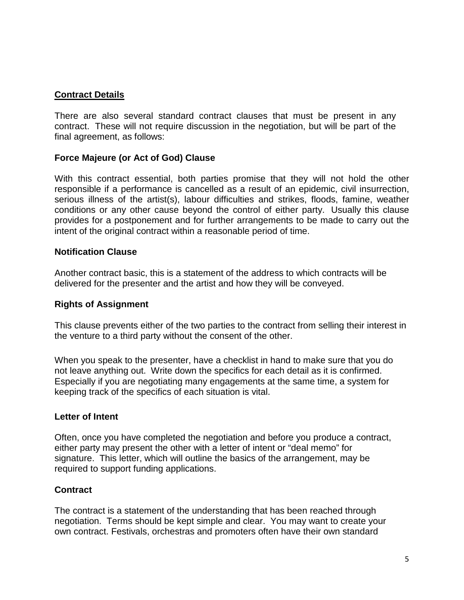#### **Contract Details**

There are also several standard contract clauses that must be present in any contract. These will not require discussion in the negotiation, but will be part of the final agreement, as follows:

### **Force Majeure (or Act of God) Clause**

With this contract essential, both parties promise that they will not hold the other responsible if a performance is cancelled as a result of an epidemic, civil insurrection, serious illness of the artist(s), labour difficulties and strikes, floods, famine, weather conditions or any other cause beyond the control of either party. Usually this clause provides for a postponement and for further arrangements to be made to carry out the intent of the original contract within a reasonable period of time.

#### **Notification Clause**

Another contract basic, this is a statement of the address to which contracts will be delivered for the presenter and the artist and how they will be conveyed.

#### **Rights of Assignment**

This clause prevents either of the two parties to the contract from selling their interest in the venture to a third party without the consent of the other.

When you speak to the presenter, have a checklist in hand to make sure that you do not leave anything out. Write down the specifics for each detail as it is confirmed. Especially if you are negotiating many engagements at the same time, a system for keeping track of the specifics of each situation is vital.

#### **Letter of Intent**

Often, once you have completed the negotiation and before you produce a contract, either party may present the other with a letter of intent or "deal memo" for signature. This letter, which will outline the basics of the arrangement, may be required to support funding applications.

#### **Contract**

The contract is a statement of the understanding that has been reached through negotiation. Terms should be kept simple and clear. You may want to create your own contract. Festivals, orchestras and promoters often have their own standard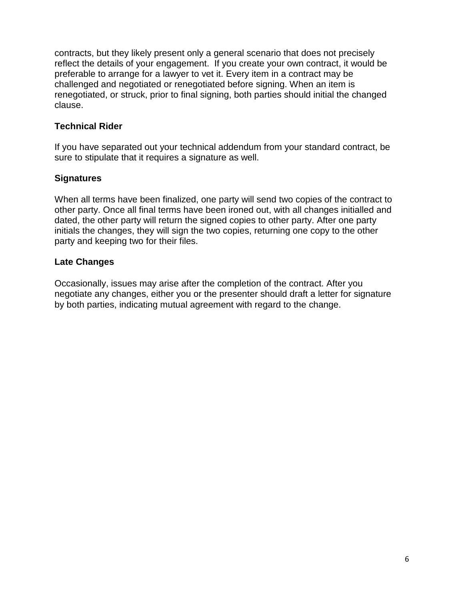contracts, but they likely present only a general scenario that does not precisely reflect the details of your engagement. If you create your own contract, it would be preferable to arrange for a lawyer to vet it. Every item in a contract may be challenged and negotiated or renegotiated before signing. When an item is renegotiated, or struck, prior to final signing, both parties should initial the changed clause.

### **Technical Rider**

If you have separated out your technical addendum from your standard contract, be sure to stipulate that it requires a signature as well.

### **Signatures**

When all terms have been finalized, one party will send two copies of the contract to other party. Once all final terms have been ironed out, with all changes initialled and dated, the other party will return the signed copies to other party. After one party initials the changes, they will sign the two copies, returning one copy to the other party and keeping two for their files.

### **Late Changes**

Occasionally, issues may arise after the completion of the contract. After you negotiate any changes, either you or the presenter should draft a letter for signature by both parties, indicating mutual agreement with regard to the change.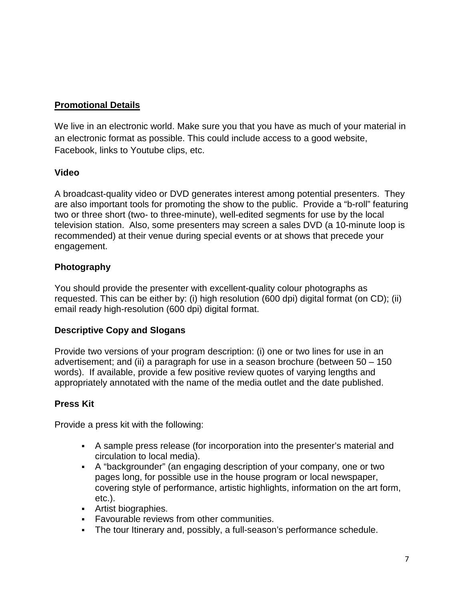## **Promotional Details**

We live in an electronic world. Make sure you that you have as much of your material in an electronic format as possible. This could include access to a good website, Facebook, links to Youtube clips, etc.

### **Video**

A broadcast-quality video or DVD generates interest among potential presenters. They are also important tools for promoting the show to the public. Provide a "b-roll" featuring two or three short (two- to three-minute), well-edited segments for use by the local television station. Also, some presenters may screen a sales DVD (a 10-minute loop is recommended) at their venue during special events or at shows that precede your engagement.

## **Photography**

You should provide the presenter with excellent-quality colour photographs as requested. This can be either by: (i) high resolution (600 dpi) digital format (on CD); (ii) email ready high-resolution (600 dpi) digital format.

## **Descriptive Copy and Slogans**

Provide two versions of your program description: (i) one or two lines for use in an advertisement; and (ii) a paragraph for use in a season brochure (between 50 – 150 words). If available, provide a few positive review quotes of varying lengths and appropriately annotated with the name of the media outlet and the date published.

## **Press Kit**

Provide a press kit with the following:

- A sample press release (for incorporation into the presenter's material and circulation to local media).
- A "backgrounder" (an engaging description of your company, one or two pages long, for possible use in the house program or local newspaper, covering style of performance, artistic highlights, information on the art form, etc.).
- Artist biographies.
- **Favourable reviews from other communities.**
- The tour Itinerary and, possibly, a full-season's performance schedule.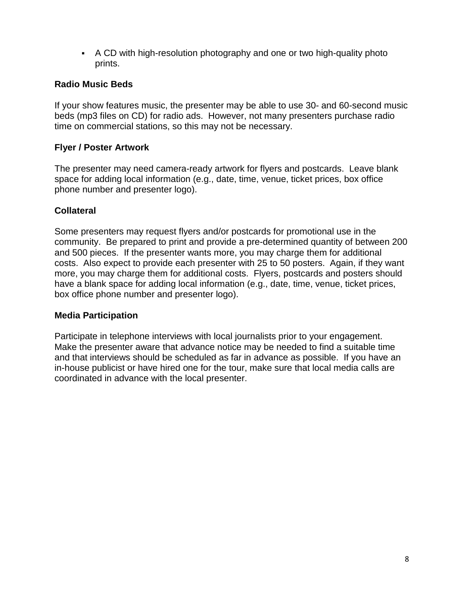A CD with high-resolution photography and one or two high-quality photo prints.

### **Radio Music Beds**

If your show features music, the presenter may be able to use 30- and 60-second music beds (mp3 files on CD) for radio ads. However, not many presenters purchase radio time on commercial stations, so this may not be necessary.

### **Flyer / Poster Artwork**

The presenter may need camera-ready artwork for flyers and postcards. Leave blank space for adding local information (e.g., date, time, venue, ticket prices, box office phone number and presenter logo).

### **Collateral**

Some presenters may request flyers and/or postcards for promotional use in the community. Be prepared to print and provide a pre-determined quantity of between 200 and 500 pieces. If the presenter wants more, you may charge them for additional costs. Also expect to provide each presenter with 25 to 50 posters. Again, if they want more, you may charge them for additional costs. Flyers, postcards and posters should have a blank space for adding local information (e.g., date, time, venue, ticket prices, box office phone number and presenter logo).

### **Media Participation**

Participate in telephone interviews with local journalists prior to your engagement. Make the presenter aware that advance notice may be needed to find a suitable time and that interviews should be scheduled as far in advance as possible. If you have an in-house publicist or have hired one for the tour, make sure that local media calls are coordinated in advance with the local presenter.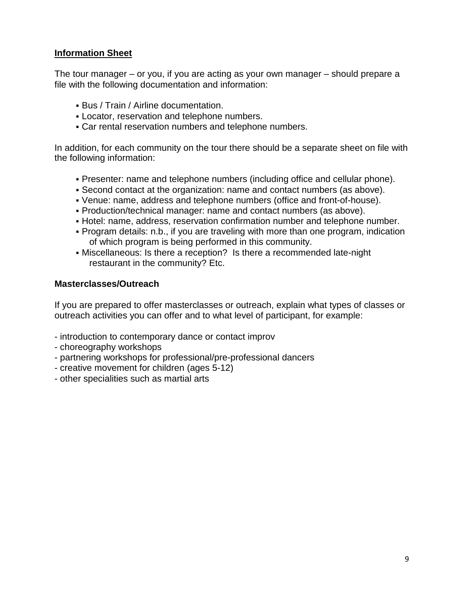## **Information Sheet**

The tour manager – or you, if you are acting as your own manager – should prepare a file with the following documentation and information:

- Bus / Train / Airline documentation.
- Locator, reservation and telephone numbers.
- Car rental reservation numbers and telephone numbers.

In addition, for each community on the tour there should be a separate sheet on file with the following information:

- Presenter: name and telephone numbers (including office and cellular phone).
- Second contact at the organization: name and contact numbers (as above).
- Venue: name, address and telephone numbers (office and front-of-house).
- Production/technical manager: name and contact numbers (as above).
- Hotel: name, address, reservation confirmation number and telephone number.
- Program details: n.b., if you are traveling with more than one program, indication of which program is being performed in this community.
- Miscellaneous: Is there a reception? Is there a recommended late-night restaurant in the community? Etc.

### **Masterclasses/Outreach**

If you are prepared to offer masterclasses or outreach, explain what types of classes or outreach activities you can offer and to what level of participant, for example:

- introduction to contemporary dance or contact improv
- choreography workshops
- partnering workshops for professional/pre-professional dancers
- creative movement for children (ages 5-12)
- other specialities such as martial arts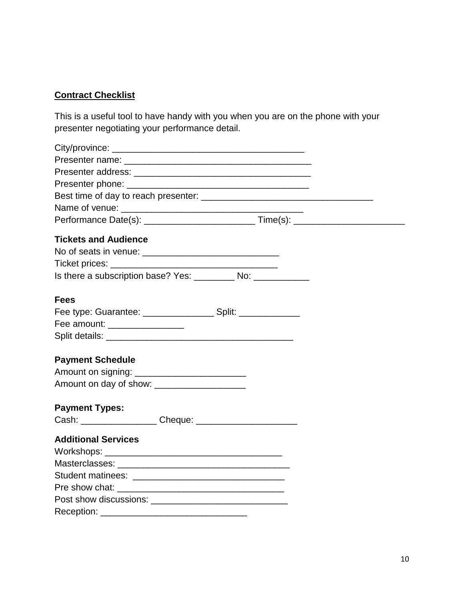# **Contract Checklist**

This is a useful tool to have handy with you when you are on the phone with your presenter negotiating your performance detail.

| <b>Tickets and Audience</b>                                                      |  |
|----------------------------------------------------------------------------------|--|
|                                                                                  |  |
|                                                                                  |  |
| Is there a subscription base? Yes: __________ No: ___________                    |  |
| <b>Fees</b>                                                                      |  |
| Fee type: Guarantee: ________________________ Split: ___________________________ |  |
| Fee amount: _________________                                                    |  |
|                                                                                  |  |
|                                                                                  |  |
| <b>Payment Schedule</b>                                                          |  |
| Amount on signing: _____________________________                                 |  |
| Amount on day of show: ___________________                                       |  |
|                                                                                  |  |
| <b>Payment Types:</b>                                                            |  |
|                                                                                  |  |
| <b>Additional Services</b>                                                       |  |
|                                                                                  |  |
|                                                                                  |  |
|                                                                                  |  |
|                                                                                  |  |
|                                                                                  |  |
|                                                                                  |  |
|                                                                                  |  |